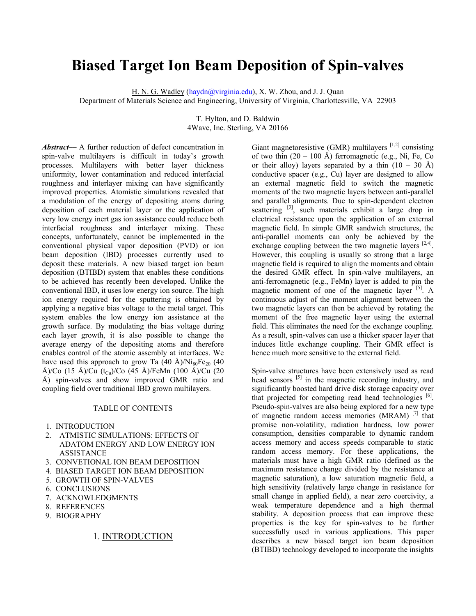# **Biased Target Ion Beam Deposition of Spin-valves**

H. N. G. Wadley (haydn@virginia.edu), X. W. Zhou, and J. J. Quan

Department of Materials Science and Engineering, University of Virginia, Charlottesville, VA 22903

T. Hylton, and D. Baldwin 4Wave, Inc. Sterling, VA 20166

*Abstract***––** A further reduction of defect concentration in spin-valve multilayers is difficult in today's growth processes. Multilayers with better layer thickness uniformity, lower contamination and reduced interfacial roughness and interlayer mixing can have significantly improved properties. Atomistic simulations revealed that a modulation of the energy of depositing atoms during deposition of each material layer or the application of very low energy inert gas ion assistance could reduce both interfacial roughness and interlayer mixing. These concepts, unfortunately, cannot be implemented in the conventional physical vapor deposition (PVD) or ion beam deposition (IBD) processes currently used to deposit these materials. A new biased target ion beam deposition (BTIBD) system that enables these conditions to be achieved has recently been developed. Unlike the conventional IBD, it uses low energy ion source. The high ion energy required for the sputtering is obtained by applying a negative bias voltage to the metal target. This system enables the low energy ion assistance at the growth surface. By modulating the bias voltage during each layer growth, it is also possible to change the average energy of the depositing atoms and therefore enables control of the atomic assembly at interfaces. We have used this approach to grow Ta  $(40 \text{ Å})/\text{Ni}_{80}\text{Fe}_{20}$   $(40 \text{ Å})$ Å)/Co (15 Å)/Cu (t<sub>Cu</sub>)/Co (45 Å)/FeMn (100 Å)/Cu (20 Å) spin-valves and show improved GMR ratio and coupling field over traditional IBD grown multilayers.

#### TABLE OF CONTENTS

- 1. INTRODUCTION
- 2. ATMISTIC SIMULATIONS: EFFECTS OF ADATOM ENERGY AND LOW ENERGY ION ASSISTANCE
- 3. CONVETIONAL ION BEAM DEPOSITION
- 4. BIASED TARGET ION BEAM DEPOSITION
- 5. GROWTH OF SPIN-VALVES
- 6. CONCLUSIONS
- 7. ACKNOWLEDGMENTS
- 8. REFERENCES
- 9. BIOGRAPHY

# 1. INTRODUCTION

Giant magnetoresistive (GMR) multilayers  $[1,2]$  consisting of two thin  $(20 - 100 \text{ Å})$  ferromagnetic (e.g., Ni, Fe, Co) or their alloy) layers separated by a thin  $(10 - 30 \text{ Å})$ conductive spacer (e.g., Cu) layer are designed to allow an external magnetic field to switch the magnetic moments of the two magnetic layers between anti-parallel and parallel alignments. Due to spin-dependent electron scattering  $^{[3]}$ , such materials exhibit a large drop in electrical resistance upon the application of an external magnetic field. In simple GMR sandwich structures, the anti-parallel moments can only be achieved by the exchange coupling between the two magnetic layers  $[2,4]$ . However, this coupling is usually so strong that a large magnetic field is required to align the moments and obtain the desired GMR effect. In spin-valve multilayers, an anti-ferromagnetic (e.g., FeMn) layer is added to pin the magnetic moment of one of the magnetic layer  $[5]$ . A continuous adjust of the moment alignment between the two magnetic layers can then be achieved by rotating the moment of the free magnetic layer using the external field. This eliminates the need for the exchange coupling. As a result, spin-valves can use a thicker spacer layer that induces little exchange coupling. Their GMR effect is hence much more sensitive to the external field.

Spin-valve structures have been extensively used as read head sensors <sup>[5]</sup> in the magnetic recording industry, and significantly boosted hard drive disk storage capacity over that projected for competing read head technologies [6]. Pseudo-spin-valves are also being explored for a new type of magnetic random access memories (MRAM) [7] that promise non-volatility, radiation hardness, low power consumption, densities comparable to dynamic random access memory and access speeds comparable to static random access memory. For these applications, the materials must have a high GMR ratio (defined as the maximum resistance change divided by the resistance at magnetic saturation), a low saturation magnetic field, a high sensitivity (relatively large change in resistance for small change in applied field), a near zero coercivity, a weak temperature dependence and a high thermal stability. A deposition process that can improve these properties is the key for spin-valves to be further successfully used in various applications. This paper describes a new biased target ion beam deposition (BTIBD) technology developed to incorporate the insights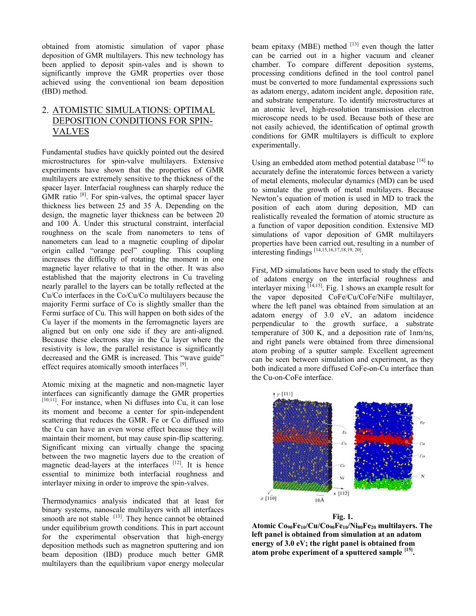obtained from atomistic simulation of vapor phase deposition of GMR multilayers. This new technology has been applied to deposit spin-vales and is shown to significantly improve the GMR properties over those achieved using the conventional ion beam deposition (IBD) method.

# 2. ATOMISTIC SIMULATIONS: OPTIMAL DEPOSITION CONDITIONS FOR SPIN-VALVES

Fundamental studies have quickly pointed out the desired microstructures for spin-valve multilayers. Extensive experiments have shown that the properties of GMR multilayers are extremely sensitive to the thickness of the spacer layer. Interfacial roughness can sharply reduce the  $GMR$  ratio  $[8]$ . For spin-valves, the optimal spacer layer thickness lies between 25 and 35 Å. Depending on the design, the magnetic layer thickness can be between 20 and 100 Å. Under this structural constraint, interfacial roughness on the scale from nanometers to tens of nanometers can lead to a magnetic coupling of dipolar origin called "orange peel" coupling. This coupling increases the difficulty of rotating the moment in one magnetic layer relative to that in the other. It was also established that the majority electrons in Cu traveling nearly parallel to the layers can be totally reflected at the Cu/Co interfaces in the Co/Cu/Co multilayers because the majority Fermi surface of Co is slightly smaller than the Fermi surface of Cu. This will happen on both sides of the Cu layer if the moments in the ferromagnetic layers are aligned but on only one side if they are anti-aligned. Because these electrons stay in the Cu layer where the resistivity is low, the parallel resistance is significantly decreased and the GMR is increased. This "wave guide" effect requires atomically smooth interfaces <sup>[9]</sup>.

Atomic mixing at the magnetic and non-magnetic layer interfaces can significantly damage the GMR properties  $[10,11]$ . For instance, when Ni diffuses into Cu, it can lose its moment and become a center for spin-independent scattering that reduces the GMR. Fe or Co diffused into the Cu can have an even worse effect because they will maintain their moment, but may cause spin-flip scattering. Significant mixing can virtually change the spacing between the two magnetic layers due to the creation of magnetic dead-layers at the interfaces  $[12]$ . It is hence essential to minimize both interfacial roughness and interlayer mixing in order to improve the spin-valves.

Thermodynamics analysis indicated that at least for binary systems, nanoscale multilayers with all interfaces smooth are not stable  $[13]$ . They hence cannot be obtained under equilibrium growth conditions. This in part account for the experimental observation that high-energy deposition methods such as magnetron sputtering and ion beam deposition (IBD) produce much better GMR multilayers than the equilibrium vapor energy molecular

beam epitaxy (MBE) method  $[13]$  even though the latter can be carried out in a higher vacuum and cleaner chamber. To compare different deposition systems, processing conditions defined in the tool control panel must be converted to more fundamental expressions such as adatom energy, adatom incident angle, deposition rate, and substrate temperature. To identify microstructures at an atomic level, high-resolution transmission electron microscope needs to be used. Because both of these are not easily achieved, the identification of optimal growth conditions for GMR multilayers is difficult to explore experimentally.

Using an embedded atom method potential database  $[14]$  to accurately define the interatomic forces between a variety of metal elements, molecular dynamics (MD) can be used to simulate the growth of metal multilayers. Because Newton's equation of motion is used in MD to track the position of each atom during deposition, MD can realistically revealed the formation of atomic structure as a function of vapor deposition condition. Extensive MD simulations of vapor deposition of GMR multilayers properties have been carried out, resulting in a number of interesting findings [14,15,16,17,18,19, 20].

First, MD simulations have been used to study the effects of adatom energy on the interfacial roughness and interlayer mixing  $\left[14,15\right]$ . Fig. 1 shows an example result for the vapor deposited CoFe/Cu/CoFe/NiFe multilayer, where the left panel was obtained from simulation at an adatom energy of 3.0 eV, an adatom incidence perpendicular to the growth surface, a substrate temperature of 300 K, and a deposition rate of 1nm/ns, and right panels were obtained from three dimensional atom probing of a sputter sample. Excellent agreement can be seen between simulation and experiment, as they both indicated a more diffused CoFe-on-Cu interface than the Cu-on-CoFe interface.





**Atomic Co90Fe10/Cu/Co90Fe10/Ni80Fe20 multilayers. The left panel is obtained from simulation at an adatom energy of 3.0 eV; the right panel is obtained from atom probe experiment of a sputtered sample [15].**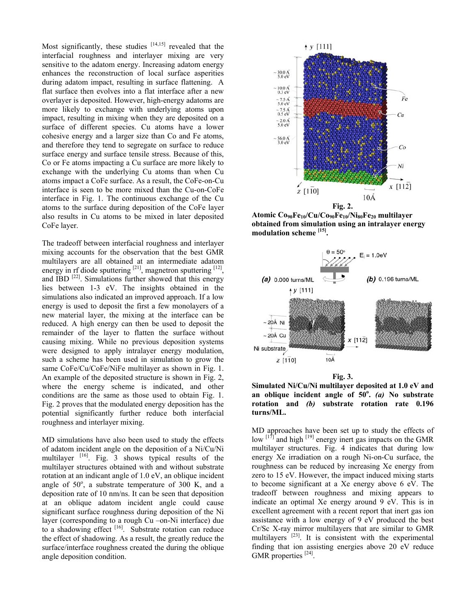Most significantly, these studies  $[14,15]$  revealed that the interfacial roughness and interlayer mixing are very sensitive to the adatom energy. Increasing adatom energy enhances the reconstruction of local surface asperities during adatom impact, resulting in surface flattening. A flat surface then evolves into a flat interface after a new overlayer is deposited. However, high-energy adatoms are more likely to exchange with underlying atoms upon impact, resulting in mixing when they are deposited on a surface of different species. Cu atoms have a lower cohesive energy and a larger size than Co and Fe atoms, and therefore they tend to segregate on surface to reduce surface energy and surface tensile stress. Because of this, Co or Fe atoms impacting a Cu surface are more likely to exchange with the underlying Cu atoms than when Cu atoms impact a CoFe surface. As a result, the CoFe-on-Cu interface is seen to be more mixed than the Cu-on-CoFe interface in Fig. 1. The continuous exchange of the Cu atoms to the surface during deposition of the CoFe layer also results in Cu atoms to be mixed in later deposited CoFe layer.

The tradeoff between interfacial roughness and interlayer mixing accounts for the observation that the best GMR multilayers are all obtained at an intermediate adatom energy in rf diode sputtering  $[21]$ , magnetron sputtering  $[12]$ , and  $\overline{IBD}$  [22]. Simulations further showed that this energy lies between 1-3 eV. The insights obtained in the simulations also indicated an improved approach. If a low energy is used to deposit the first a few monolayers of a new material layer, the mixing at the interface can be reduced. A high energy can then be used to deposit the remainder of the layer to flatten the surface without causing mixing. While no previous deposition systems were designed to apply intralayer energy modulation, such a scheme has been used in simulation to grow the same CoFe/Cu/CoFe/NiFe multilayer as shown in Fig. 1. An example of the deposited structure is shown in Fig. 2, where the energy scheme is indicated, and other conditions are the same as those used to obtain Fig. 1. Fig. 2 proves that the modulated energy deposition has the potential significantly further reduce both interfacial roughness and interlayer mixing.

MD simulations have also been used to study the effects of adatom incident angle on the deposition of a Ni/Cu/Ni multilayer  $[16]$ . Fig. 3 shows typical results of the multilayer structures obtained with and without substrate rotation at an indicant angle of 1.0 eV, an oblique incident angle of  $50^\circ$ , a substrate temperature of  $300$  K, and a deposition rate of 10 nm/ns. It can be seen that deposition at an oblique adatom incident angle could cause significant surface roughness during deposition of the Ni layer (corresponding to a rough Cu –on-Ni interface) due to a shadowing effect [16]. Substrate rotation can reduce the effect of shadowing. As a result, the greatly reduce the surface/interface roughness created the during the oblique angle deposition condition.



**Atomic Co90Fe10/Cu/Co90Fe10/Ni80Fe20 multilayer obtained from simulation using an intralayer energy modulation scheme [15].**



**Simulated Ni/Cu/Ni multilayer deposited at 1.0 eV and an oblique incident angle of 50<sup>o</sup> .** *(a)* **No substrate rotation and** *(b)* **substrate rotation rate 0.196 turns/ML.**

MD approaches have been set up to study the effects of low  $\left[\right]$ <sup>[17]</sup> and high  $\left[{}^{19}\right]$  energy inert gas impacts on the GMR multilayer structures. Fig. 4 indicates that during low energy Xe irradiation on a rough Ni-on-Cu surface, the roughness can be reduced by increasing Xe energy from zero to 15 eV. However, the impact induced mixing starts to become significant at a Xe energy above 6 eV. The tradeoff between roughness and mixing appears to indicate an optimal Xe energy around 9 eV. This is in excellent agreement with a recent report that inert gas ion assistance with a low energy of 9 eV produced the best Cr/Sc X-ray mirror multilayers that are similar to GMR multilayers<sup>[23]</sup>. It is consistent with the experimental finding that ion assisting energies above 20 eV reduce GMR properties [24].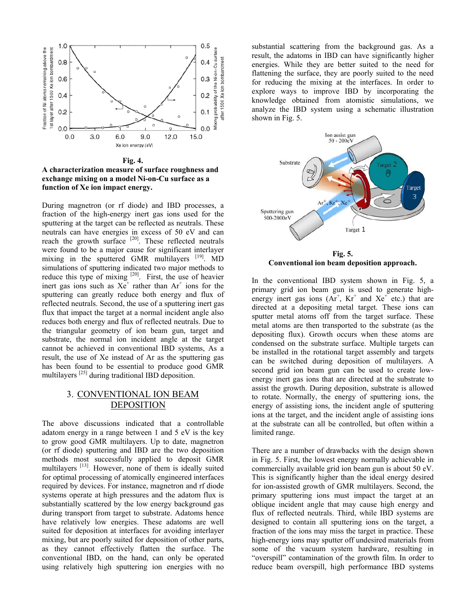

**Fig. 4. A characterization measure of surface roughness and exchange mixing on a model Ni-on-Cu surface as a function of Xe ion impact energy.**

During magnetron (or rf diode) and IBD processes, a fraction of the high-energy inert gas ions used for the sputtering at the target can be reflected as neutrals. These neutrals can have energies in excess of 50 eV and can reach the growth surface  $[20]$ . These reflected neutrals were found to be a major cause for significant interlayer mixing in the sputtered GMR multilayers [19]. MD simulations of sputtering indicated two major methods to reduce this type of mixing  $[20]$ . First, the use of heavier inert gas ions such as  $Xe^{+}$  rather than  $Ar^{+}$  ions for the sputtering can greatly reduce both energy and flux of reflected neutrals. Second, the use of a sputtering inert gas flux that impact the target at a normal incident angle also reduces both energy and flux of reflected neutrals. Due to the triangular geometry of ion beam gun, target and substrate, the normal ion incident angle at the target cannot be achieved in conventional IBD systems, As a result, the use of Xe instead of Ar as the sputtering gas has been found to be essential to produce good GMR multilayers [25] during traditional IBD deposition.

# 3. CONVENTIONAL ION BEAM DEPOSITION

The above discussions indicated that a controllable adatom energy in a range between 1 and 5 eV is the key to grow good GMR multilayers. Up to date, magnetron (or rf diode) sputtering and IBD are the two deposition methods most successfully applied to deposit GMR multilayers <sup>[13]</sup>. However, none of them is ideally suited for optimal processing of atomically engineered interfaces required by devices. For instance, magnetron and rf diode systems operate at high pressures and the adatom flux is substantially scattered by the low energy background gas during transport from target to substrate. Adatoms hence have relatively low energies. These adatoms are well suited for deposition at interfaces for avoiding interlayer mixing, but are poorly suited for deposition of other parts, as they cannot effectively flatten the surface. The conventional IBD, on the hand, can only be operated using relatively high sputtering ion energies with no

substantial scattering from the background gas. As a result, the adatoms in IBD can have significantly higher energies. While they are better suited to the need for flattening the surface, they are poorly suited to the need for reducing the mixing at the interfaces. In order to explore ways to improve IBD by incorporating the knowledge obtained from atomistic simulations, we analyze the IBD system using a schematic illustration shown in Fig. 5.



**Fig. 5. Conventional ion beam deposition approach.**

In the conventional IBD system shown in Fig. 5, a primary grid ion beam gun is used to generate highenergy inert gas ions  $(Ar^+$ ,  $Kr^+$  and  $Xe^+$  etc.) that are directed at a depositing metal target. These ions can sputter metal atoms off from the target surface. These metal atoms are then transported to the substrate (as the depositing flux). Growth occurs when these atoms are condensed on the substrate surface. Multiple targets can be installed in the rotational target assembly and targets can be switched during deposition of multilayers. A second grid ion beam gun can be used to create lowenergy inert gas ions that are directed at the substrate to assist the growth. During deposition, substrate is allowed to rotate. Normally, the energy of sputtering ions, the energy of assisting ions, the incident angle of sputtering ions at the target, and the incident angle of assisting ions at the substrate can all be controlled, but often within a limited range.

There are a number of drawbacks with the design shown in Fig. 5. First, the lowest energy normally achievable in commercially available grid ion beam gun is about 50 eV. This is significantly higher than the ideal energy desired for ion-assisted growth of GMR multilayers. Second, the primary sputtering ions must impact the target at an oblique incident angle that may cause high energy and flux of reflected neutrals. Third, while IBD systems are designed to contain all sputtering ions on the target, a fraction of the ions may miss the target in practice. These high-energy ions may sputter off undesired materials from some of the vacuum system hardware, resulting in "overspill" contamination of the growth film. In order to reduce beam overspill, high performance IBD systems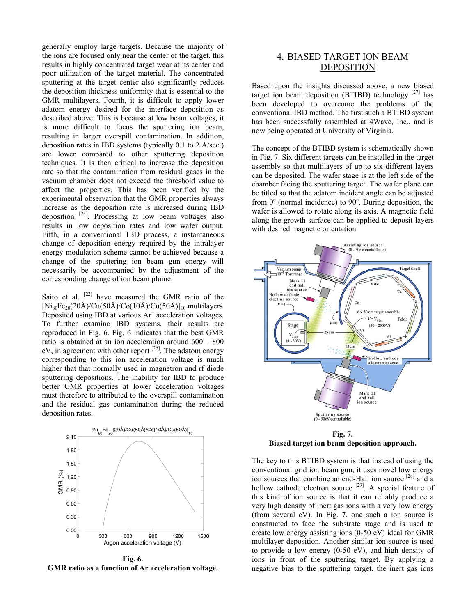generally employ large targets. Because the majority of the ions are focused only near the center of the target, this results in highly concentrated target wear at its center and poor utilization of the target material. The concentrated sputtering at the target center also significantly reduces the deposition thickness uniformity that is essential to the GMR multilayers. Fourth, it is difficult to apply lower adatom energy desired for the interface deposition as described above. This is because at low beam voltages, it is more difficult to focus the sputtering ion beam, resulting in larger overspill contamination. In addition, deposition rates in IBD systems (typically 0.1 to 2 Å/sec.) are lower compared to other sputtering deposition techniques. It is then critical to increase the deposition rate so that the contamination from residual gases in the vacuum chamber does not exceed the threshold value to affect the properties. This has been verified by the experimental observation that the GMR properties always increase as the deposition rate is increased during IBD deposition  $[25]$ . Processing at low beam voltages also results in low deposition rates and low wafer output. Fifth, in a conventional IBD process, a instantaneous change of deposition energy required by the intralayer energy modulation scheme cannot be achieved because a change of the sputtering ion beam gun energy will necessarily be accompanied by the adjustment of the corresponding change of ion beam plume.

Saito et al. <sup>[22]</sup> have measured the GMR ratio of the  $[Ni_{80}Fe_{20}(20\text{\AA})/Cu(50\text{\AA})/Co(10\text{\AA})/Cu(50\text{\AA})]_{10}$  multilayers Deposited using IBD at various  $Ar^+$  acceleration voltages. To further examine IBD systems, their results are reproduced in Fig. 6. Fig. 6 indicates that the best GMR ratio is obtained at an ion acceleration around 600 – 800  $eV$ , in agreement with other report  $[26]$ . The adatom energy corresponding to this ion acceleration voltage is much higher that that normally used in magnetron and rf diode sputtering depositions. The inability for IBD to produce better GMR properties at lower acceleration voltages must therefore to attributed to the overspill contamination and the residual gas contamination during the reduced deposition rates.



**Fig. 6. GMR ratio as a function of Ar acceleration voltage.**

# 4. BIASED TARGET ION BEAM DEPOSITION

Based upon the insights discussed above, a new biased target ion beam deposition (BTIBD) technology  $[27]$  has been developed to overcome the problems of the conventional IBD method. The first such a BTIBD system has been successfully assembled at 4Wave, Inc., and is now being operated at University of Virginia.

The concept of the BTIBD system is schematically shown in Fig. 7. Six different targets can be installed in the target assembly so that multilayers of up to six different layers can be deposited. The wafer stage is at the left side of the chamber facing the sputtering target. The wafer plane can be titled so that the adatom incident angle can be adjusted from  $0^{\circ}$  (normal incidence) to  $90^{\circ}$ . During deposition, the wafer is allowed to rotate along its axis. A magnetic field along the growth surface can be applied to deposit layers with desired magnetic orientation.



**Fig. 7. Biased target ion beam deposition approach.**

The key to this BTIBD system is that instead of using the conventional grid ion beam gun, it uses novel low energy ion sources that combine an end-Hall ion source <sup>[28]</sup> and a hollow cathode electron source <sup>[29]</sup>. A special feature of this kind of ion source is that it can reliably produce a very high density of inert gas ions with a very low energy (from several eV). In Fig. 7, one such a ion source is constructed to face the substrate stage and is used to create low energy assisting ions (0-50 eV) ideal for GMR multilayer deposition. Another similar ion source is used to provide a low energy (0-50 eV), and high density of ions in front of the sputtering target. By applying a negative bias to the sputtering target, the inert gas ions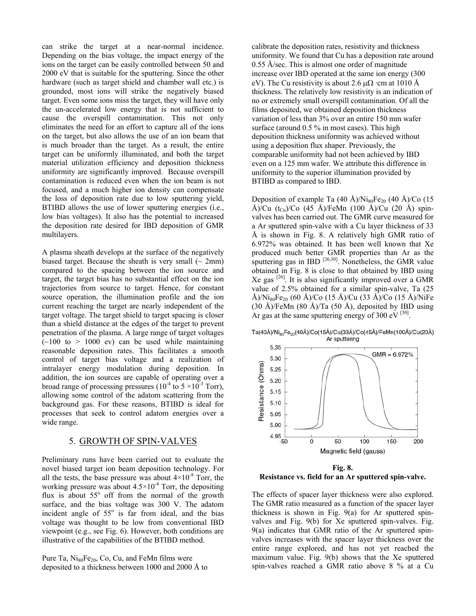can strike the target at a near-normal incidence. Depending on the bias voltage, the impact energy of the ions on the target can be easily controlled between 50 and 2000 eV that is suitable for the sputtering. Since the other hardware (such as target shield and chamber wall etc.) is grounded, most ions will strike the negatively biased target. Even some ions miss the target, they will have only the un-accelerated low energy that is not sufficient to cause the overspill contamination. This not only eliminates the need for an effort to capture all of the ions on the target, but also allows the use of an ion beam that is much broader than the target. As a result, the entire target can be uniformly illuminated, and both the target material utilization efficiency and deposition thickness uniformity are significantly improved. Because overspill contamination is reduced even when the ion beam is not focused, and a much higher ion density can compensate the loss of deposition rate due to low sputtering yield, BTIBD allows the use of lower sputtering energies (i.e., low bias voltages). It also has the potential to increased the deposition rate desired for IBD deposition of GMR multilayers.

A plasma sheath develops at the surface of the negatively biased target. Because the sheath is very small  $\sim$  2mm) compared to the spacing between the ion source and target, the target bias has no substantial effect on the ion trajectories from source to target. Hence, for constant source operation, the illumination profile and the ion current reaching the target are nearly independent of the target voltage. The target shield to target spacing is closer than a shield distance at the edges of the target to prevent penetration of the plasma. A large range of target voltages  $(\sim 100$  to  $> 1000$  ev) can be used while maintaining reasonable deposition rates. This facilitates a smooth control of target bias voltage and a realization of intralayer energy modulation during deposition. In addition, the ion sources are capable of operating over a broad range of processing pressures ( $10^{-4}$  to  $5 \times 10^{-3}$  Torr), allowing some control of the adatom scattering from the background gas. For these reasons, BTIBD is ideal for processes that seek to control adatom energies over a wide range.

#### 5. GROWTH OF SPIN-VALVES

Preliminary runs have been carried out to evaluate the novel biased target ion beam deposition technology. For all the tests, the base pressure was about  $4\times10^{-8}$  Torr, the working pressure was about  $4.5 \times 10^{-4}$  Torr, the depositing flux is about  $55^\circ$  off from the normal of the growth surface, and the bias voltage was 300 V. The adatom incident angle of  $55^\circ$  is far from ideal, and the bias voltage was thought to be low from conventional IBD viewpoint (e.g., see Fig. 6). However, both conditions are illustrative of the capabilities of the BTIBD method.

Pure Ta,  $Ni_{80}Fe_{20}$ , Co, Cu, and FeMn films were deposited to a thickness between 1000 and 2000 Å to

calibrate the deposition rates, resistivity and thickness uniformity. We found that Cu has a deposition rate around 0.55 Å/sec. This is almost one order of magnitude increase over IBD operated at the same ion energy (300 eV). The Cu resistivity is about 2.6  $\mu\Omega$  ·cm at 1010 Å thickness. The relatively low resistivity is an indication of no or extremely small overspill contamination. Of all the films deposited, we obtained deposition thickness variation of less than 3% over an entire 150 mm wafer surface (around 0.5 % in most cases). This high deposition thickness uniformity was achieved without using a deposition flux shaper. Previously, the comparable uniformity had not been achieved by IBD even on a 125 mm wafer. We attribute this difference in uniformity to the superior illumination provided by BTIBD as compared to IBD.

Deposition of example Ta (40 Å)/Ni<sub>80</sub>Fe<sub>20</sub> (40 Å)/Co (15 Å)/Cu  $(t_{Cu})$ /Co (45 Å)/FeMn (100 Å)/Cu (20 Å) spinvalves has been carried out. The GMR curve measured for a Ar sputtered spin-valve with a Cu layer thickness of 33 Å is shown in Fig. 8. A relatively high GMR ratio of 6.972% was obtained. It has been well known that Xe produced much better GMR properties than Ar as the sputtering gas in IBD  $^{[26,30]}$ . Nonetheless, the GMR value obtained in Fig. 8 is close to that obtained by IBD using Xe gas  $^{[26]}$ . It is also significantly improved over a GMR value of 2.5% obtained for a similar spin-valve, Ta (25 Å)/Ni<sub>80</sub>Fe<sub>20</sub> (60 Å)/Co (15 Å)/Cu (33 Å)/Co (15 Å)/NiFe (30 Å)/FeMn (80 Å)/Ta (50 Å), deposited by IBD using Ar gas at the same sputtering energy of 300 eV  $^{[30]}$ .

Ta(40Å)/Ni<sub>an</sub>Fe<sub>20</sub>(40Å)/Co(15Å)/Cu(33Å)/Co(45Å)/FeMn(100Å)/Cu(20Å) Ar sputtering



**Fig. 8. Resistance vs. field for an Ar sputtered spin-valve.**

The effects of spacer layer thickness were also explored. The GMR ratio measured as a function of the spacer layer thickness is shown in Fig. 9(a) for Ar sputtered spinvalves and Fig. 9(b) for Xe sputtered spin-valves. Fig. 9(a) indicates that GMR ratio of the Ar sputtered spinvalves increases with the spacer layer thickness over the entire range explored, and has not yet reached the maximum value. Fig. 9(b) shows that the Xe sputtered spin-valves reached a GMR ratio above 8 % at a Cu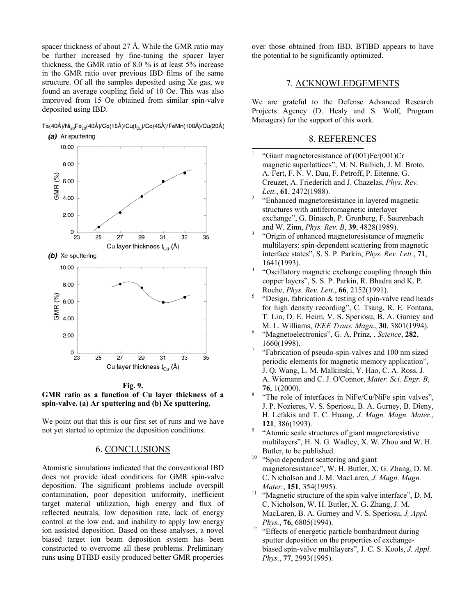spacer thickness of about 27 Å. While the GMR ratio may be further increased by fine-tuning the spacer layer thickness, the GMR ratio of 8.0 % is at least 5% increase in the GMR ratio over previous IBD films of the same structure. Of all the samples deposited using Xe gas, we found an average coupling field of 10 Oe. This was also improved from 15 Oe obtained from similar spin-valve deposited using IBD.

Ta(40Å)/Ni<sub>so</sub>Fe<sub>20</sub>(40Å)/Co(15Å)/Cu(t<sub>ou</sub>)/Co(45Å)/FeMn(100Å)/Cu(20Å)





**Fig. 9. GMR ratio as a function of Cu layer thickness of a spin-valve. (a) Ar sputtering and (b) Xe sputtering.**

We point out that this is our first set of runs and we have not yet started to optimize the deposition conditions.

# 6. CONCLUSIONS

Atomistic simulations indicated that the conventional IBD does not provide ideal conditions for GMR spin-valve deposition. The significant problems include overspill contamination, poor deposition uniformity, inefficient target material utilization, high energy and flux of reflected neutrals, low deposition rate, lack of energy control at the low end, and inability to apply low energy ion assisted deposition. Based on these analyses, a novel biased target ion beam deposition system has been constructed to overcome all these problems. Preliminary runs using BTIBD easily produced better GMR properties

over those obtained from IBD. BTIBD appears to have the potential to be significantly optimized.

#### 7. ACKNOWLEDGEMENTS

We are grateful to the Defense Advanced Research Projects Agency (D. Healy and S. Wolf, Program Managers) for the support of this work.

#### 8. REFERENCES

- $\frac{1}{1}$  "Giant magnetoresistance of (001)Fe/(001)Cr magnetic superlattices", M. N. Baibich, J. M. Broto, A. Fert, F. N. V. Dau, F. Petroff, P. Eitenne, G. Creuzet, A. Friederich and J. Chazelas, *Phys. Rev. Lett.*, **61**, 2472(1988).
- "Enhanced magnetoresistance in layered magnetic structures with antiferromagnetic interlayer exchange", G. Binasch, P. Grunberg, F. Saurenbach and W. Zinn, *Phys. Rev. B*, **39**, 4828(1989). 3
- "Origin of enhanced magnetoresistance of magnetic multilayers: spin-dependent scattering from magnetic interface states", S. S. P. Parkin, *Phys. Rev. Lett.*, **71**,  $1641(1993)$ .
- "Oscillatory magnetic exchange coupling through thin copper layers", S. S. P. Parkin, R. Bhadra and K. P. Roche, *Phys. Rev. Lett.*, **66**, 2152(1991). 5
- "Design, fabrication & testing of spin-valve read heads for high density recording", C. Tsang, R. E. Fontana, T. Lin, D. E. Heim, V. S. Speriosu, B. A. Gurney and
- M. L. Williams, *IEEE Trans. Magn.*, **30**, 3801(1994). 6 "Magnetoelectronics", G. A. Prinz, . *Science*, **282**,  $\frac{1660(1998)}{7}$
- "Fabrication of pseudo-spin-valves and 100 nm sized periodic elements for magnetic memory application", J. Q. Wang, L. M. Malkinski, Y. Hao, C. A. Ross, J. A. Wiemann and C. J. O'Connor, *Mater. Sci. Engr. B*,  $\frac{76}{8}$ , 1(2000).
- "The role of interfaces in NiFe/Cu/NiFe spin valves", J. P. Nozieres, V. S. Speriosu, B. A. Gurney, B. Dieny, H. Lefakis and T. C. Huang, *J. Magn. Magn. Mater.*, **121**, 386(1993).
- "Atomic scale structures of giant magnetoresistive multilayers", H. N. G. Wadley, X. W. Zhou and W. H. Butler, to be published.<br><sup>10</sup> "Spin dependent scattering and giant"
- magnetoresistance", W. H. Butler, X. G. Zhang, D. M. C. Nicholson and J. M. MacLaren, *J. Magn. Magn. Mater.*, **151**, 354(1995).<br><sup>11</sup> "Magnetic structure of the spin valve interface", D. M.
- C. Nicholson, W. H. Butler, X. G. Zhang, J. M. MacLaren, B. A. Gurney and V. S. Speriosu, *J. Appl. Phys.*, **76**, 6805(1994).<br><sup>12</sup> "Effects of energetic particle bombardment during
- sputter deposition on the properties of exchangebiased spin-valve multilayers", J. C. S. Kools, *J. Appl. Phys.*, **77**, 2993(1995).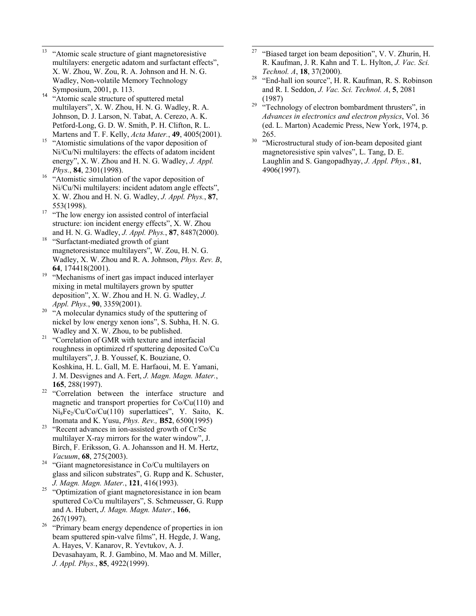- $13$ 13 "Atomic scale structure of giant magnetoresistive multilayers: energetic adatom and surfactant effects", X. W. Zhou, W. Zou, R. A. Johnson and H. N. G. Wadley, Non-volatile Memory Technology
- Symposium, 2001, p. 113. 14 "Atomic scale structure of sputtered metal multilayers", X. W. Zhou, H. N. G. Wadley, R. A. Johnson, D. J. Larson, N. Tabat, A. Cerezo, A. K. Petford-Long, G. D. W. Smith, P. H. Clifton, R. L.
- Martens and T. F. Kelly, *Acta Mater.*, **49**, 4005(2001).<sup>15</sup> "Atomistic simulations of the vapor deposition of Ni/Cu/Ni multilayers: the effects of adatom incident energy", X. W. Zhou and H. N. G. Wadley, *J. Appl.*
- *Phys.*, **84**, 2301(1998).<br><sup>16</sup> "Atomistic simulation of the vapor deposition of Ni/Cu/Ni multilayers: incident adatom angle effects", X. W. Zhou and H. N. G. Wadley, *J. Appl. Phys.*, **87**,
- 553(1998).<br><sup>17</sup> "The low energy ion assisted control of interfacial structure: ion incident energy effects", X. W. Zhou
- and H. N. G. Wadley, *J. Appl. Phys.*, **87**, 8487(2000). 18 "Surfactant-mediated growth of giant magnetoresistance multilayers", W. Zou, H. N. G. Wadley, X. W. Zhou and R. A. Johnson, *Phys. Rev. B*,
- **64**, 174418(2001).<br><sup>19</sup> "Mechanisms of inert gas impact induced interlayer mixing in metal multilayers grown by sputter deposition", X. W. Zhou and H. N. G. Wadley, *J.*
- *Appl. Phys.*, **90**, 3359(2001). 20 "A molecular dynamics study of the sputtering of nickel by low energy xenon ions", S. Subha, H. N. G.
- Wadley and X. W. Zhou, to be published.  $21$  "Correlation of GMR with texture and interfacial roughness in optimized rf sputtering deposited Co/Cu multilayers", J. B. Youssef, K. Bouziane, O. Koshkina, H. L. Gall, M. E. Harfaoui, M. E. Yamani, J. M. Desvignes and A. Fert, *J. Magn. Magn. Mater.*,
- **<sup>165</sup>**, 288(1997). 22 "Correlation between the interface structure and magnetic and transport properties for Co/Cu(110) and  $Ni_8Fe_2/Cu/Co/Cu(110)$  superlattices", Y. Saito, K.<br>Inomata and K. Yusu, *Phys. Rev.*, **B52**, 6500(1995)
- <sup>23</sup> "Recent advances in ion-assisted growth of Cr/Sc multilayer X-ray mirrors for the water window", J. Birch, F. Eriksson, G. A. Johansson and H. M. Hertz,
- *Vacuum*, **68**, 275(2003). 24 "Giant magnetoresistance in Co/Cu multilayers on glass and silicon substrates", G. Rupp and K. Schuster,
- *J. Magn. Magn. Mater.*, **121**, 416(1993). 25 "Optimization of giant magnetoresistance in ion beam sputtered Co/Cu multilayers", S. Schmeusser, G. Rupp and A. Hubert, *J. Magn. Magn. Mater.*, **166**,
- $267(1997)$ .<br><sup>26</sup> "Primary beam energy dependence of properties in ion beam sputtered spin-valve films", H. Hegde, J. Wang, A. Hayes, V. Kanarov, R. Yevtukov, A. J. Devasahayam, R. J. Gambino, M. Mao and M. Miller, *J. Appl. Phys.*, **85**, 4922(1999).
- $\overline{27}$ "Biased target ion beam deposition", V. V. Zhurin, H. R. Kaufman, J. R. Kahn and T. L. Hylton, *J. Vac. Sci.*
- *Technol. A*, **18**, 37(2000). 28 "End-hall ion source", H. R. Kaufman, R. S. Robinson and R. I. Seddon, *J. Vac. Sci. Technol. A*, **5**, 2081
- (1987)<br>
"Technology of electron bombardment thrusters", in *Advances in electronics and electron physics*, Vol. 36 (ed. L. Marton) Academic Press, New York, 1974, p. 265.<br>
"Microstructural study of ion-beam deposited giant
- magnetoresistive spin valves", L. Tang, D. E. Laughlin and S. Gangopadhyay, *J. Appl. Phys.*, **81**, 4906(1997).